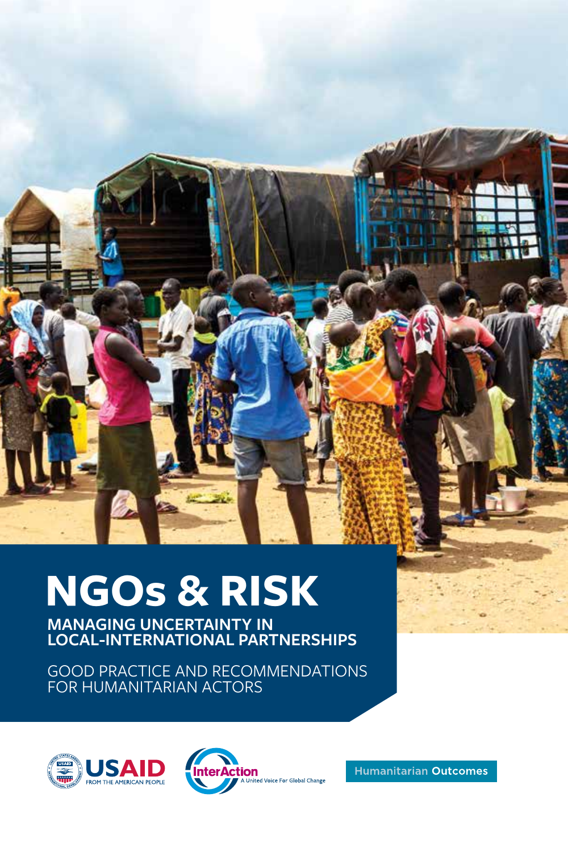

# **NGOs & RISK**

**MANAGING UNCERTAINTY IN LOCAL-INTERNATIONAL PARTNERSHIPS**

GOOD PRACTICE AND RECOMMENDATIONS FOR HUMANITARIAN ACTORS





**Humanitarian Outcomes**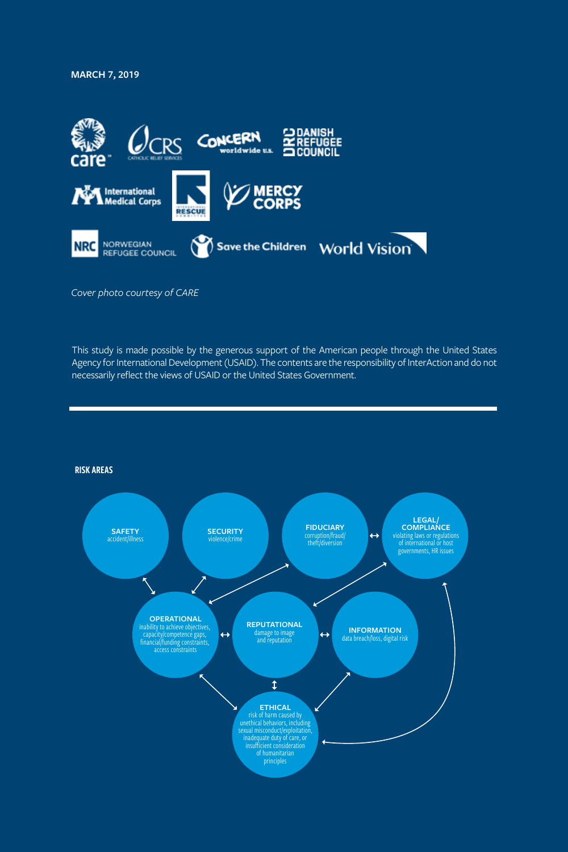**MARCH 7, 2019**



*Cover photo courtesy of CARE*

This study is made possible by the generous support of the American people through the United States Agency for International Development (USAID). The contents are the responsibility of InterAction and do not necessarily reflect the views of USAID or the United States Government.

RISK AREAS

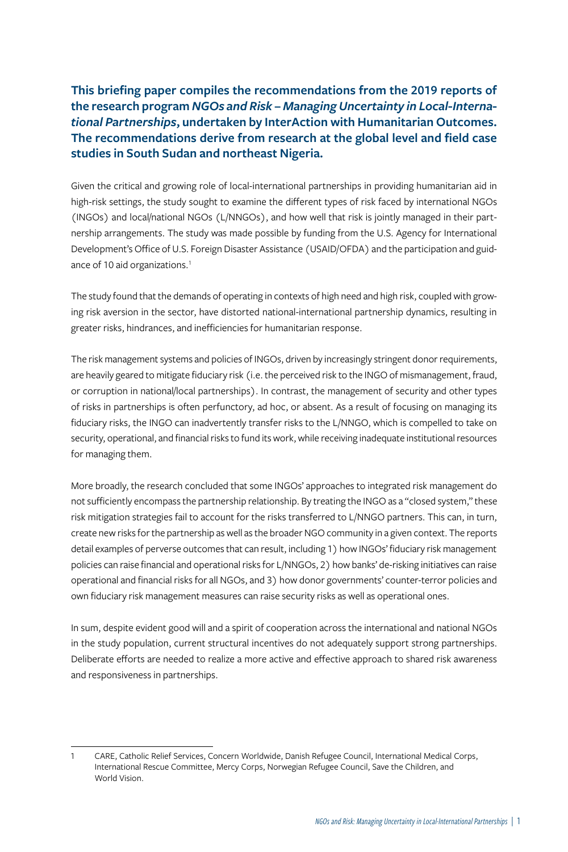**This briefing paper compiles the recommendations from the 2019 reports of the research program** *NGOs and Risk – Managing Uncertainty in Local-International Partnerships***, undertaken by InterAction with Humanitarian Outcomes. The recommendations derive from research at the global level and field case studies in South Sudan and northeast Nigeria.** 

Given the critical and growing role of local-international partnerships in providing humanitarian aid in high-risk settings, the study sought to examine the different types of risk faced by international NGOs (INGOs) and local/national NGOs (L/NNGOs), and how well that risk is jointly managed in their partnership arrangements. The study was made possible by funding from the U.S. Agency for International Development's Office of U.S. Foreign Disaster Assistance (USAID/OFDA) and the participation and guidance of 10 aid organizations.<sup>1</sup>

The study found that the demands of operating in contexts of high need and high risk, coupled with growing risk aversion in the sector, have distorted national-international partnership dynamics, resulting in greater risks, hindrances, and inefficiencies for humanitarian response.

The risk management systems and policies of INGOs, driven by increasingly stringent donor requirements, are heavily geared to mitigate fiduciary risk (i.e. the perceived risk to the INGO of mismanagement, fraud, or corruption in national/local partnerships). In contrast, the management of security and other types of risks in partnerships is often perfunctory, ad hoc, or absent. As a result of focusing on managing its fiduciary risks, the INGO can inadvertently transfer risks to the L/NNGO, which is compelled to take on security, operational, and financial risks to fund its work, while receiving inadequate institutional resources for managing them.

More broadly, the research concluded that some INGOs' approaches to integrated risk management do not sufficiently encompass the partnership relationship. By treating the INGO as a "closed system," these risk mitigation strategies fail to account for the risks transferred to L/NNGO partners. This can, in turn, create new risks for the partnership as well as the broader NGO community in a given context. The reports detail examples of perverse outcomes that can result, including 1) how INGOs' fiduciary risk management policies can raise financial and operational risks for L/NNGOs, 2) how banks' de-risking initiatives can raise operational and financial risks for all NGOs, and 3) how donor governments' counter-terror policies and own fiduciary risk management measures can raise security risks as well as operational ones.

In sum, despite evident good will and a spirit of cooperation across the international and national NGOs in the study population, current structural incentives do not adequately support strong partnerships. Deliberate efforts are needed to realize a more active and effective approach to shared risk awareness and responsiveness in partnerships.

l

<sup>1</sup> CARE, Catholic Relief Services, Concern Worldwide, Danish Refugee Council, International Medical Corps, International Rescue Committee, Mercy Corps, Norwegian Refugee Council, Save the Children, and World Vision.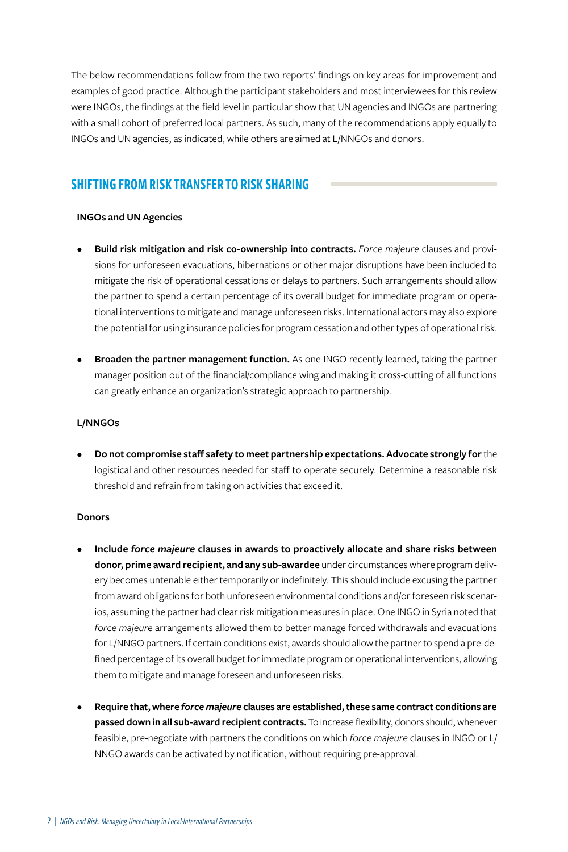The below recommendations follow from the two reports' findings on key areas for improvement and examples of good practice. Although the participant stakeholders and most interviewees for this review were INGOs, the findings at the field level in particular show that UN agencies and INGOs are partnering with a small cohort of preferred local partners. As such, many of the recommendations apply equally to INGOs and UN agencies, as indicated, while others are aimed at L/NNGOs and donors.

# SHIFTING FROM RISK TRANSFER TO RISK SHARING

### **INGOs and UN Agencies**

- **Build risk mitigation and risk co-ownership into contracts.** *Force majeure* clauses and provisions for unforeseen evacuations, hibernations or other major disruptions have been included to mitigate the risk of operational cessations or delays to partners. Such arrangements should allow the partner to spend a certain percentage of its overall budget for immediate program or operational interventions to mitigate and manage unforeseen risks. International actors may also explore the potential for using insurance policies for program cessation and other types of operational risk.
- **Broaden the partner management function.** As one INGO recently learned, taking the partner manager position out of the financial/compliance wing and making it cross-cutting of all functions can greatly enhance an organization's strategic approach to partnership.

#### **L/NNGOs**

**• Do not compromise staff safety to meet partnership expectations. Advocate strongly for** the logistical and other resources needed for staff to operate securely. Determine a reasonable risk threshold and refrain from taking on activities that exceed it.

#### **Donors**

- **Include** *force majeure* **clauses in awards to proactively allocate and share risks between donor, prime award recipient, and any sub-awardee** under circumstances where program delivery becomes untenable either temporarily or indefinitely. This should include excusing the partner from award obligations for both unforeseen environmental conditions and/or foreseen risk scenarios, assuming the partner had clear risk mitigation measures in place. One INGO in Syria noted that *force majeure* arrangements allowed them to better manage forced withdrawals and evacuations for L/NNGO partners. If certain conditions exist, awards should allow the partner to spend a pre-defined percentage of its overall budget for immediate program or operational interventions, allowing them to mitigate and manage foreseen and unforeseen risks.
- **Require that, where** *force majeure* **clauses are established, these same contract conditions are passed down in all sub-award recipient contracts.** To increase flexibility, donors should, whenever feasible, pre-negotiate with partners the conditions on which *force majeure* clauses in INGO or L/ NNGO awards can be activated by notification, without requiring pre-approval.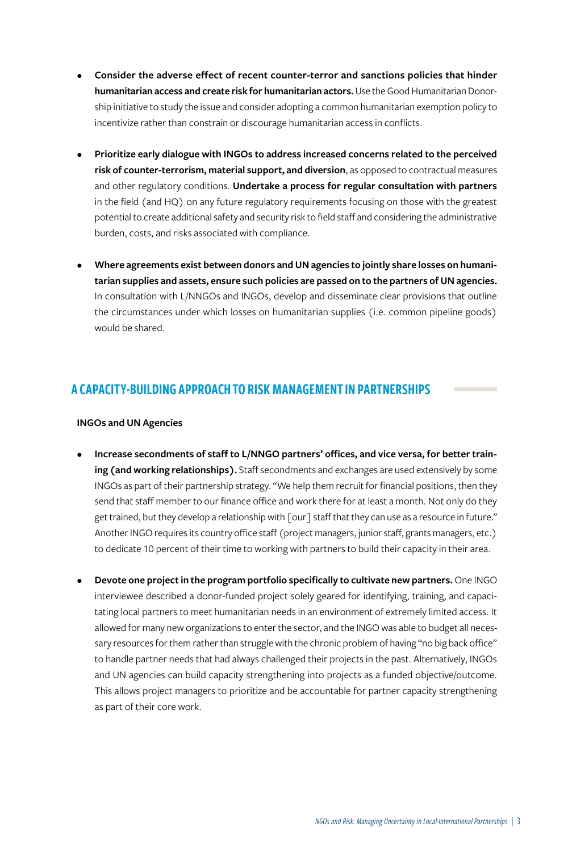- **Consider the adverse effect of recent counter-terror and sanctions policies that hinder humanitarian access and create risk for humanitarian actors.** Use the Good Humanitarian Donorship initiative to study the issue and consider adopting a common humanitarian exemption policy to incentivize rather than constrain or discourage humanitarian access in conflicts.
- **Prioritize early dialogue with INGOs to address increased concerns related to the perceived risk of counter-terrorism, material support, and diversion**, as opposed to contractual measures and other regulatory conditions. **Undertake a process for regular consultation with partners** in the field (and HQ) on any future regulatory requirements focusing on those with the greatest potential to create additional safety and security risk to field staff and considering the administrative burden, costs, and risks associated with compliance.
- **Where agreements exist between donors and UN agencies to jointly share losses on humanitarian supplies and assets, ensure such policies are passed on to the partners of UN agencies.** In consultation with L/NNGOs and INGOs, develop and disseminate clear provisions that outline the circumstances under which losses on humanitarian supplies (i.e. common pipeline goods) would be shared.

# A CAPACITY-BUILDING APPROACH TO RISK MANAGEMENT IN PARTNERSHIPS

#### **INGOs and UN Agencies**

- **Increase secondments of staff to L/NNGO partners' offices, and vice versa, for better training (and working relationships).** Staff secondments and exchanges are used extensively by some INGOs as part of their partnership strategy. "We help them recruit for financial positions, then they send that staff member to our finance office and work there for at least a month. Not only do they get trained, but they develop a relationship with [our] staff that they can use as a resource in future." Another INGO requires its country office staff (project managers, junior staff, grants managers, etc.) to dedicate 10 percent of their time to working with partners to build their capacity in their area.
- **Devote one project in the program portfolio specifically to cultivate new partners.** One INGO interviewee described a donor-funded project solely geared for identifying, training, and capacitating local partners to meet humanitarian needs in an environment of extremely limited access. It allowed for many new organizations to enter the sector, and the INGO was able to budget all necessary resources for them rather than struggle with the chronic problem of having "no big back office" to handle partner needs that had always challenged their projects in the past. Alternatively, INGOs and UN agencies can build capacity strengthening into projects as a funded objective/outcome. This allows project managers to prioritize and be accountable for partner capacity strengthening as part of their core work.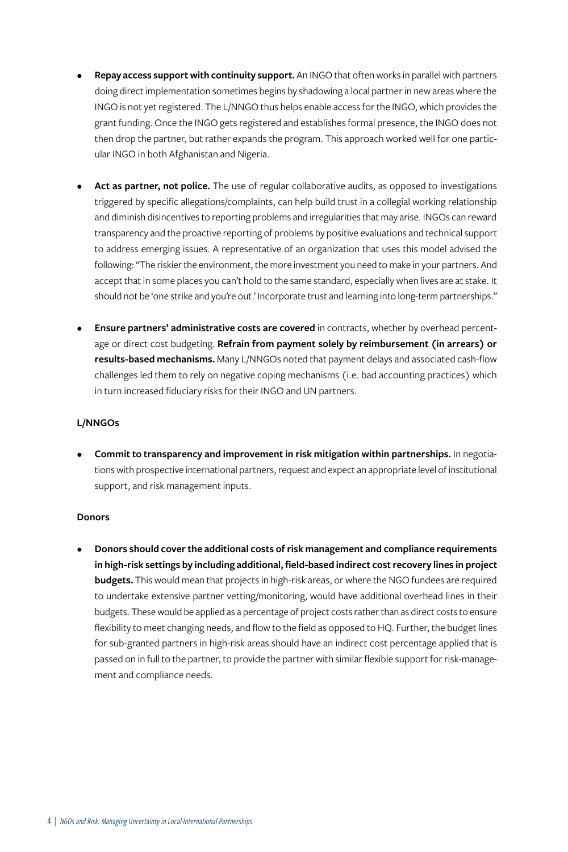- **Repay access support with continuity support.** An INGO that often works in parallel with partners doing direct implementation sometimes begins by shadowing a local partner in new areas where the INGO is not yet registered. The L/NNGO thus helps enable access for the INGO, which provides the grant funding. Once the INGO gets registered and establishes formal presence, the INGO does not then drop the partner, but rather expands the program. This approach worked well for one particular INGO in both Afghanistan and Nigeria.
- Act as partner, not police. The use of regular collaborative audits, as opposed to investigations triggered by specific allegations/complaints, can help build trust in a collegial working relationship and diminish disincentives to reporting problems and irregularities that may arise. INGOs can reward transparency and the proactive reporting of problems by positive evaluations and technical support to address emerging issues. A representative of an organization that uses this model advised the following: "The riskier the environment, the more investment you need to make in your partners. And accept that in some places you can't hold to the same standard, especially when lives are at stake. It should not be 'one strike and you're out.' Incorporate trust and learning into long-term partnerships."
- **Ensure partners' administrative costs are covered** in contracts, whether by overhead percentage or direct cost budgeting. **Refrain from payment solely by reimbursement (in arrears) or results-based mechanisms.** Many L/NNGOs noted that payment delays and associated cash-flow challenges led them to rely on negative coping mechanisms (i.e. bad accounting practices) which in turn increased fiduciary risks for their INGO and UN partners.

## **L/NNGOs**

**• Commit to transparency and improvement in risk mitigation within partnerships.** In negotiations with prospective international partners, request and expect an appropriate level of institutional support, and risk management inputs.

### **Donors**

**• Donors should cover the additional costs of risk management and compliance requirements in high-risk settings by including additional, field-based indirect cost recovery lines in project budgets.** This would mean that projects in high-risk areas, or where the NGO fundees are required to undertake extensive partner vetting/monitoring, would have additional overhead lines in their budgets. These would be applied as a percentage of project costs rather than as direct costs to ensure flexibility to meet changing needs, and flow to the field as opposed to HQ. Further, the budget lines for sub-granted partners in high-risk areas should have an indirect cost percentage applied that is passed on in full to the partner, to provide the partner with similar flexible support for risk-management and compliance needs.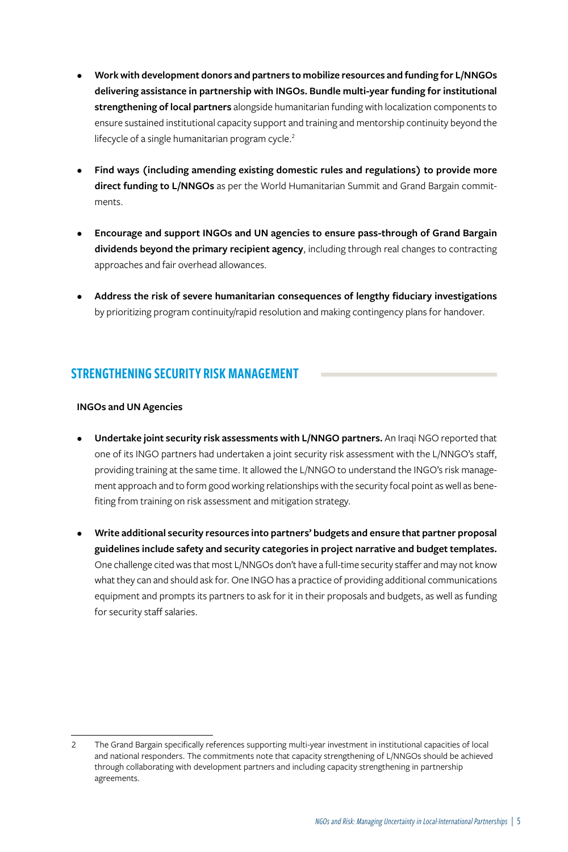- **Work with development donors and partners to mobilize resources and funding for L/NNGOs delivering assistance in partnership with INGOs. Bundle multi-year funding for institutional strengthening of local partners** alongside humanitarian funding with localization components to ensure sustained institutional capacity support and training and mentorship continuity beyond the lifecycle of a single humanitarian program cycle.<sup>2</sup>
- **Find ways (including amending existing domestic rules and regulations) to provide more direct funding to L/NNGOs** as per the World Humanitarian Summit and Grand Bargain commitments.
- **Encourage and support INGOs and UN agencies to ensure pass-through of Grand Bargain dividends beyond the primary recipient agency**, including through real changes to contracting approaches and fair overhead allowances.
- **Address the risk of severe humanitarian consequences of lengthy fiduciary investigations** by prioritizing program continuity/rapid resolution and making contingency plans for handover.

# STRENGTHENING SECURITY RISK MANAGEMENT

### **INGOs and UN Agencies**

l

- **Undertake joint security risk assessments with L/NNGO partners.** An Iraqi NGO reported that one of its INGO partners had undertaken a joint security risk assessment with the L/NNGO's staff, providing training at the same time. It allowed the L/NNGO to understand the INGO's risk management approach and to form good working relationships with the security focal point as well as benefiting from training on risk assessment and mitigation strategy.
- **Write additional security resources into partners' budgets and ensure that partner proposal guidelines include safety and security categories in project narrative and budget templates.** One challenge cited was that most L/NNGOs don't have a full-time security staffer and may not know what they can and should ask for. One INGO has a practice of providing additional communications equipment and prompts its partners to ask for it in their proposals and budgets, as well as funding for security staff salaries.

<sup>2</sup> The Grand Bargain specifically references supporting multi-year investment in institutional capacities of local and national responders. The commitments note that capacity strengthening of L/NNGOs should be achieved through collaborating with development partners and including capacity strengthening in partnership agreements.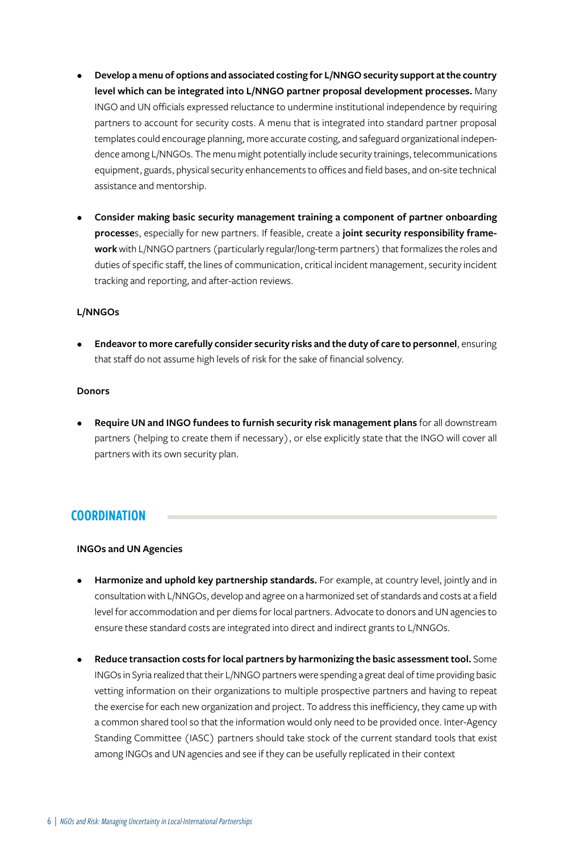- **Develop a menu of options and associated costing for L/NNGO security support at the country level which can be integrated into L/NNGO partner proposal development processes.** Many INGO and UN officials expressed reluctance to undermine institutional independence by requiring partners to account for security costs. A menu that is integrated into standard partner proposal templates could encourage planning, more accurate costing, and safeguard organizational independence among L/NNGOs. The menu might potentially include security trainings, telecommunications equipment, guards, physical security enhancements to offices and field bases, and on-site technical assistance and mentorship.
- **Consider making basic security management training a component of partner onboarding processe**s, especially for new partners. If feasible, create a **joint security responsibility framework** with L/NNGO partners (particularly regular/long-term partners) that formalizes the roles and duties of specific staff, the lines of communication, critical incident management, security incident tracking and reporting, and after-action reviews.

#### **L/NNGOs**

**• Endeavor to more carefully consider security risks and the duty of care to personnel**, ensuring that staff do not assume high levels of risk for the sake of financial solvency.

#### **Donors**

**• Require UN and INGO fundees to furnish security risk management plans** for all downstream partners (helping to create them if necessary), or else explicitly state that the INGO will cover all partners with its own security plan.

## **COORDINATION**

### **INGOs and UN Agencies**

- **Harmonize and uphold key partnership standards.** For example, at country level, jointly and in consultation with L/NNGOs, develop and agree on a harmonized set of standards and costs at a field level for accommodation and per diems for local partners. Advocate to donors and UN agencies to ensure these standard costs are integrated into direct and indirect grants to L/NNGOs.
- **Reduce transaction costs for local partners by harmonizing the basic assessment tool.** Some INGOs in Syria realized that their L/NNGO partners were spending a great deal of time providing basic vetting information on their organizations to multiple prospective partners and having to repeat the exercise for each new organization and project. To address this inefficiency, they came up with a common shared tool so that the information would only need to be provided once. Inter-Agency Standing Committee (IASC) partners should take stock of the current standard tools that exist among INGOs and UN agencies and see if they can be usefully replicated in their context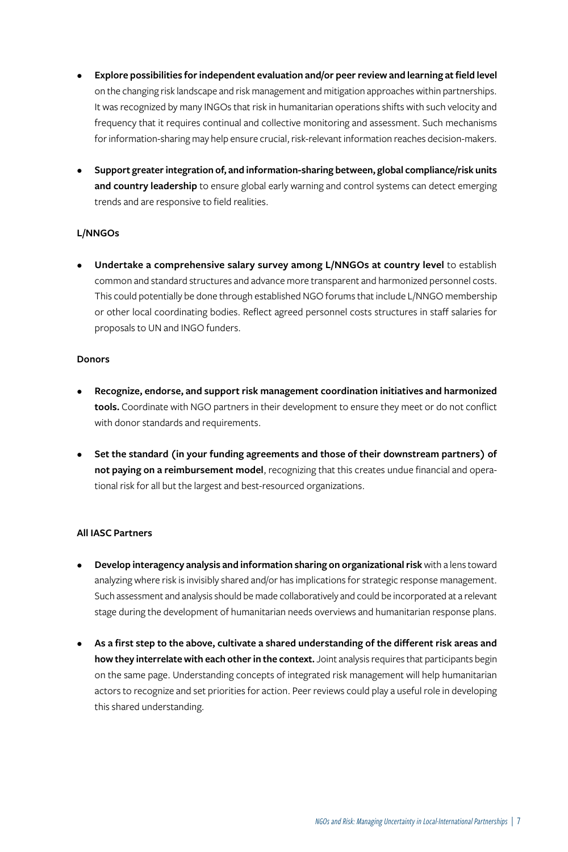- **Explore possibilities for independent evaluation and/or peer review and learning at field level** on the changing risk landscape and risk management and mitigation approaches within partnerships. It was recognized by many INGOs that risk in humanitarian operations shifts with such velocity and frequency that it requires continual and collective monitoring and assessment. Such mechanisms for information-sharing may help ensure crucial, risk-relevant information reaches decision-makers.
- **Support greater integration of, and information-sharing between, global compliance/risk units and country leadership** to ensure global early warning and control systems can detect emerging trends and are responsive to field realities.

## **L/NNGOs**

**• Undertake a comprehensive salary survey among L/NNGOs at country level** to establish common and standard structures and advance more transparent and harmonized personnel costs. This could potentially be done through established NGO forums that include L/NNGO membership or other local coordinating bodies. Reflect agreed personnel costs structures in staff salaries for proposals to UN and INGO funders.

#### **Donors**

- **Recognize, endorse, and support risk management coordination initiatives and harmonized tools.** Coordinate with NGO partners in their development to ensure they meet or do not conflict with donor standards and requirements.
- **Set the standard (in your funding agreements and those of their downstream partners) of not paying on a reimbursement model**, recognizing that this creates undue financial and operational risk for all but the largest and best-resourced organizations.

### **All IASC Partners**

- **Develop interagency analysis and information sharing on organizational risk** with a lens toward analyzing where risk is invisibly shared and/or has implications for strategic response management. Such assessment and analysis should be made collaboratively and could be incorporated at a relevant stage during the development of humanitarian needs overviews and humanitarian response plans.
- **As a first step to the above, cultivate a shared understanding of the different risk areas and how they interrelate with each other in the context.** Joint analysis requires that participants begin on the same page. Understanding concepts of integrated risk management will help humanitarian actors to recognize and set priorities for action. Peer reviews could play a useful role in developing this shared understanding.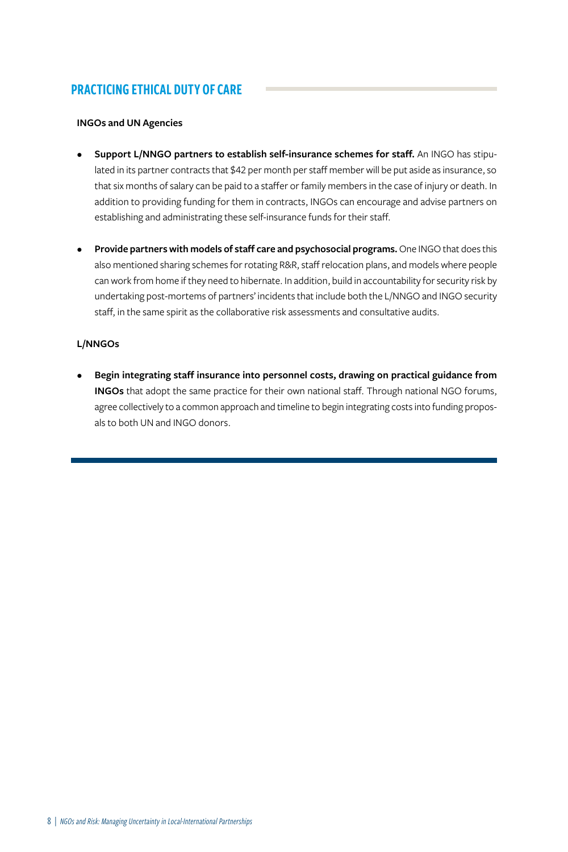# PRACTICING ETHICAL DUTY OF CARE

## **INGOs and UN Agencies**

- **Support L/NNGO partners to establish self-insurance schemes for staff.** An INGO has stipulated in its partner contracts that \$42 per month per staff member will be put aside as insurance, so that six months of salary can be paid to a staffer or family members in the case of injury or death. In addition to providing funding for them in contracts, INGOs can encourage and advise partners on establishing and administrating these self-insurance funds for their staff.
- **Provide partners with models of staff care and psychosocial programs.** One INGO that does this also mentioned sharing schemes for rotating R&R, staff relocation plans, and models where people can work from home if they need to hibernate. In addition, build in accountability for security risk by undertaking post-mortems of partners' incidents that include both the L/NNGO and INGO security staff, in the same spirit as the collaborative risk assessments and consultative audits.

## **L/NNGOs**

**• Begin integrating staff insurance into personnel costs, drawing on practical guidance from INGOs** that adopt the same practice for their own national staff. Through national NGO forums, agree collectively to a common approach and timeline to begin integrating costs into funding proposals to both UN and INGO donors.